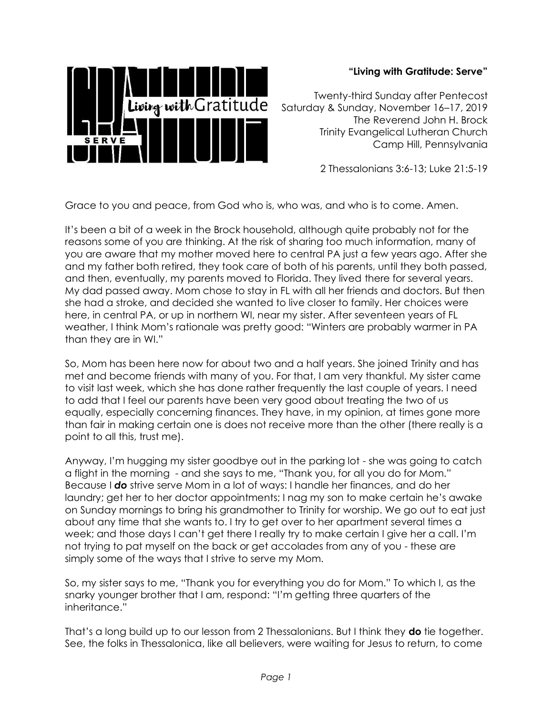

## **"Living with Gratitude: Serve"**

Twenty-third Sunday after Pentecost Saturday & Sunday, November 16–17, 2019 The Reverend John H. Brock Trinity Evangelical Lutheran Church Camp Hill, Pennsylvania

2 Thessalonians 3:6-13; Luke 21:5-19

Grace to you and peace, from God who is, who was, and who is to come. Amen.

It's been a bit of a week in the Brock household, although quite probably not for the reasons some of you are thinking. At the risk of sharing too much information, many of you are aware that my mother moved here to central PA just a few years ago. After she and my father both retired, they took care of both of his parents, until they both passed, and then, eventually, my parents moved to Florida. They lived there for several years. My dad passed away. Mom chose to stay in FL with all her friends and doctors. But then she had a stroke, and decided she wanted to live closer to family. Her choices were here, in central PA, or up in northern WI, near my sister. After seventeen years of FL weather, I think Mom's rationale was pretty good: "Winters are probably warmer in PA than they are in WI."

So, Mom has been here now for about two and a half years. She joined Trinity and has met and become friends with many of you. For that, I am very thankful. My sister came to visit last week, which she has done rather frequently the last couple of years. I need to add that I feel our parents have been very good about treating the two of us equally, especially concerning finances. They have, in my opinion, at times gone more than fair in making certain one is does not receive more than the other (there really is a point to all this, trust me).

Anyway, I'm hugging my sister goodbye out in the parking lot - she was going to catch a flight in the morning - and she says to me, "Thank you, for all you do for Mom." Because I *do* strive serve Mom in a lot of ways: I handle her finances, and do her laundry; get her to her doctor appointments; I nag my son to make certain he's awake on Sunday mornings to bring his grandmother to Trinity for worship. We go out to eat just about any time that she wants to. I try to get over to her apartment several times a week; and those days I can't get there I really try to make certain I give her a call. I'm not trying to pat myself on the back or get accolades from any of you - these are simply some of the ways that I strive to serve my Mom.

So, my sister says to me, "Thank you for everything you do for Mom." To which I, as the snarky younger brother that I am, respond: "I'm getting three quarters of the inheritance."

That's a long build up to our lesson from 2 Thessalonians. But I think they **do** tie together. See, the folks in Thessalonica, like all believers, were waiting for Jesus to return, to come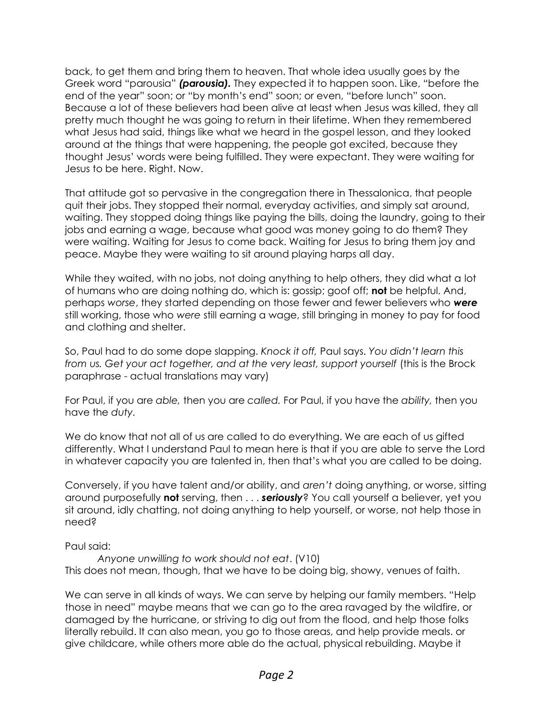back, to get them and bring them to heaven. That whole idea usually goes by the Greek word "parousia" *(parousia).* They expected it to happen soon. Like, "before the end of the year" soon; or "by month's end" soon; or even, "before lunch" soon. Because a lot of these believers had been alive at least when Jesus was killed, they all pretty much thought he was going to return in their lifetime. When they remembered what Jesus had said, things like what we heard in the gospel lesson, and they looked around at the things that were happening, the people got excited, because they thought Jesus' words were being fulfilled. They were expectant. They were waiting for Jesus to be here. Right. Now.

That attitude got so pervasive in the congregation there in Thessalonica, that people quit their jobs. They stopped their normal, everyday activities, and simply sat around, waiting. They stopped doing things like paying the bills, doing the laundry, going to their jobs and earning a wage, because what good was money going to do them? They were waiting. Waiting for Jesus to come back. Waiting for Jesus to bring them joy and peace. Maybe they were waiting to sit around playing harps all day.

While they waited, with no jobs, not doing anything to help others, they did what a lot of humans who are doing nothing do, which is: gossip; goof off; **not** be helpful. And, perhaps *worse*, they started depending on those fewer and fewer believers who *were*  still working, those who *were* still earning a wage, still bringing in money to pay for food and clothing and shelter.

So, Paul had to do some dope slapping. *Knock it off,* Paul says. *You didn't learn this from us. Get your act together, and at the very least, support yourself* (this is the Brock paraphrase - actual translations may vary)

For Paul, if you are *able,* then you are *called.* For Paul, if you have the *ability,* then you have the *duty.*

We do know that not all of us are called to do everything. We are each of us gifted differently. What I understand Paul to mean here is that if you are able to serve the Lord in whatever capacity you are talented in, then that's what you are called to be doing.

Conversely, if you have talent and/or ability, and *aren't* doing anything, or worse, sitting around purposefully **not** serving, then . . . *seriously*? You call yourself a believer, yet you sit around, idly chatting, not doing anything to help yourself, or worse, not help those in need?

Paul said:

*Anyone unwilling to work should not eat*. (V10) This does not mean, though, that we have to be doing big, showy, venues of faith.

We can serve in all kinds of ways. We can serve by helping our family members. "Help those in need" maybe means that we can go to the area ravaged by the wildfire, or damaged by the hurricane, or striving to dig out from the flood, and help those folks literally rebuild. It can also mean, you go to those areas, and help provide meals. or give childcare, while others more able do the actual, physical rebuilding. Maybe it